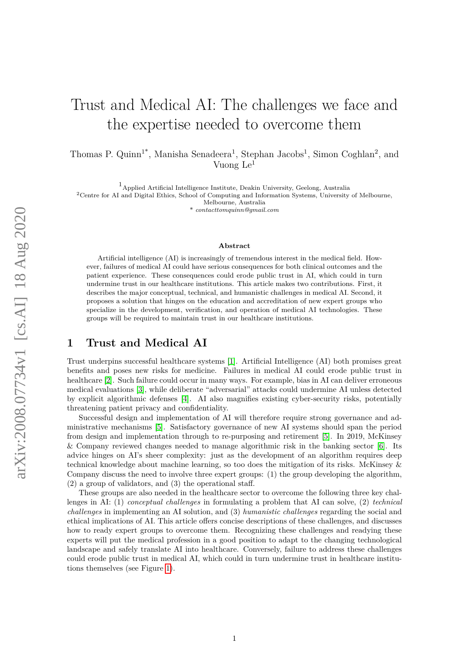# Trust and Medical AI: The challenges we face and the expertise needed to overcome them

Thomas P. Quinn<sup>1\*</sup>, Manisha Senadeera<sup>1</sup>, Stephan Jacobs<sup>1</sup>, Simon Coghlan<sup>2</sup>, and Vuong Le<sup>1</sup>

 $^{\rm 1}$  Applied Artificial Intelligence Institute, Deakin University, Geelong, Australia

<sup>2</sup>Centre for AI and Digital Ethics, School of Computing and Information Systems, University of Melbourne,

Melbourne, Australia

 $contact to \frac{1}{2}$  *contacttomquinn@qmail.com* 

#### **Abstract**

Artificial intelligence (AI) is increasingly of tremendous interest in the medical field. However, failures of medical AI could have serious consequences for both clinical outcomes and the patient experience. These consequences could erode public trust in AI, which could in turn undermine trust in our healthcare institutions. This article makes two contributions. First, it describes the major conceptual, technical, and humanistic challenges in medical AI. Second, it proposes a solution that hinges on the education and accreditation of new expert groups who specialize in the development, verification, and operation of medical AI technologies. These groups will be required to maintain trust in our healthcare institutions.

## **1 Trust and Medical AI**

Trust underpins successful healthcare systems [\[1\]](#page-4-0). Artificial Intelligence (AI) both promises great benefits and poses new risks for medicine. Failures in medical AI could erode public trust in healthcare [\[2\]](#page-4-1). Such failure could occur in many ways. For example, bias in AI can deliver erroneous medical evaluations [\[3\]](#page-4-2), while deliberate "adversarial" attacks could undermine AI unless detected by explicit algorithmic defenses [\[4\]](#page-4-3). AI also magnifies existing cyber-security risks, potentially threatening patient privacy and confidentiality.

Successful design and implementation of AI will therefore require strong governance and administrative mechanisms [\[5\]](#page-4-4). Satisfactory governance of new AI systems should span the period from design and implementation through to re-purposing and retirement [\[5\]](#page-4-4). In 2019, McKinsey & Company reviewed changes needed to manage algorithmic risk in the banking sector [\[6\]](#page-4-5). Its advice hinges on AI's sheer complexity: just as the development of an algorithm requires deep technical knowledge about machine learning, so too does the mitigation of its risks. McKinsey & Company discuss the need to involve three expert groups: (1) the group developing the algorithm, (2) a group of validators, and (3) the operational staff.

These groups are also needed in the healthcare sector to overcome the following three key challenges in AI: (1) *conceptual challenges* in formulating a problem that AI can solve, (2) *technical challenges* in implementing an AI solution, and (3) *humanistic challenges* regarding the social and ethical implications of AI. This article offers concise descriptions of these challenges, and discusses how to ready expert groups to overcome them. Recognizing these challenges and readying these experts will put the medical profession in a good position to adapt to the changing technological landscape and safely translate AI into healthcare. Conversely, failure to address these challenges could erode public trust in medical AI, which could in turn undermine trust in healthcare institutions themselves (see Figure [1\)](#page-1-0).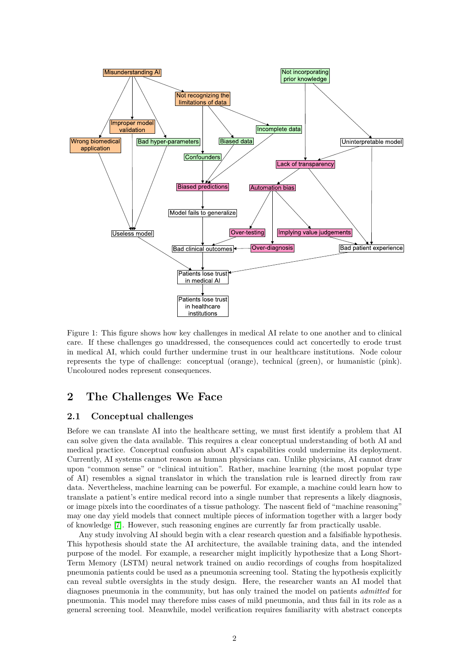

<span id="page-1-0"></span>Figure 1: This figure shows how key challenges in medical AI relate to one another and to clinical care. If these challenges go unaddressed, the consequences could act concertedly to erode trust in medical AI, which could further undermine trust in our healthcare institutions. Node colour represents the type of challenge: conceptual (orange), technical (green), or humanistic (pink). Uncoloured nodes represent consequences.

# **2 The Challenges We Face**

## **2.1 Conceptual challenges**

Before we can translate AI into the healthcare setting, we must first identify a problem that AI can solve given the data available. This requires a clear conceptual understanding of both AI and medical practice. Conceptual confusion about AI's capabilities could undermine its deployment. Currently, AI systems cannot reason as human physicians can. Unlike physicians, AI cannot draw upon "common sense" or "clinical intuition". Rather, machine learning (the most popular type of AI) resembles a signal translator in which the translation rule is learned directly from raw data. Nevertheless, machine learning can be powerful. For example, a machine could learn how to translate a patient's entire medical record into a single number that represents a likely diagnosis, or image pixels into the coordinates of a tissue pathology. The nascent field of "machine reasoning" may one day yield models that connect multiple pieces of information together with a larger body of knowledge [\[7\]](#page-5-0). However, such reasoning engines are currently far from practically usable.

Any study involving AI should begin with a clear research question and a falsifiable hypothesis. This hypothesis should state the AI architecture, the available training data, and the intended purpose of the model. For example, a researcher might implicitly hypothesize that a Long Short-Term Memory (LSTM) neural network trained on audio recordings of coughs from hospitalized pneumonia patients could be used as a pneumonia screening tool. Stating the hypothesis explicitly can reveal subtle oversights in the study design. Here, the researcher wants an AI model that diagnoses pneumonia in the community, but has only trained the model on patients *admitted* for pneumonia. This model may therefore miss cases of mild pneumonia, and thus fail in its role as a general screening tool. Meanwhile, model verification requires familiarity with abstract concepts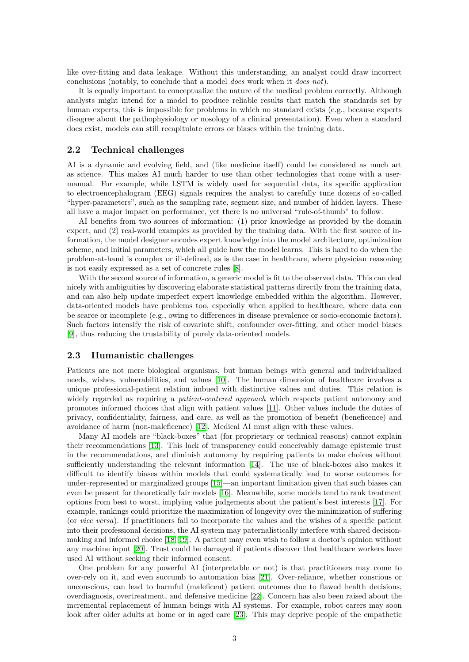like over-fitting and data leakage. Without this understanding, an analyst could draw incorrect conclusions (notably, to conclude that a model *does* work when it *does not*).

It is equally important to conceptualize the nature of the medical problem correctly. Although analysts might intend for a model to produce reliable results that match the standards set by human experts, this is impossible for problems in which no standard exists (e.g., because experts disagree about the pathophysiology or nosology of a clinical presentation). Even when a standard does exist, models can still recapitulate errors or biases within the training data.

#### **2.2 Technical challenges**

AI is a dynamic and evolving field, and (like medicine itself) could be considered as much art as science. This makes AI much harder to use than other technologies that come with a usermanual. For example, while LSTM is widely used for sequential data, its specific application to electroencephalogram (EEG) signals requires the analyst to carefully tune dozens of so-called "hyper-parameters", such as the sampling rate, segment size, and number of hidden layers. These all have a major impact on performance, yet there is no universal "rule-of-thumb" to follow.

AI benefits from two sources of information: (1) prior knowledge as provided by the domain expert, and (2) real-world examples as provided by the training data. With the first source of information, the model designer encodes expert knowledge into the model architecture, optimization scheme, and initial parameters, which all guide how the model learns. This is hard to do when the problem-at-hand is complex or ill-defined, as is the case in healthcare, where physician reasoning is not easily expressed as a set of concrete rules [\[8\]](#page-5-1).

With the second source of information, a generic model is fit to the observed data. This can deal nicely with ambiguities by discovering elaborate statistical patterns directly from the training data, and can also help update imperfect expert knowledge embedded within the algorithm. However, data-oriented models have problems too, especially when applied to healthcare, where data can be scarce or incomplete (e.g., owing to differences in disease prevalence or socio-economic factors). Such factors intensify the risk of covariate shift, confounder over-fitting, and other model biases [\[9\]](#page-5-2), thus reducing the trustability of purely data-oriented models.

#### **2.3 Humanistic challenges**

Patients are not mere biological organisms, but human beings with general and individualized needs, wishes, vulnerabilities, and values [\[10\]](#page-5-3). The human dimension of healthcare involves a unique professional-patient relation imbued with distinctive values and duties. This relation is widely regarded as requiring a *patient-centered approach* which respects patient autonomy and promotes informed choices that align with patient values [\[11\]](#page-5-4). Other values include the duties of privacy, confidentiality, fairness, and care, as well as the promotion of benefit (beneficence) and avoidance of harm (non-maleficence) [\[12\]](#page-5-5). Medical AI must align with these values.

Many AI models are "black-boxes" that (for proprietary or technical reasons) cannot explain their recommendations [\[13\]](#page-5-6). This lack of transparency could conceivably damage epistemic trust in the recommendations, and diminish autonomy by requiring patients to make choices without sufficiently understanding the relevant information [\[14\]](#page-5-7). The use of black-boxes also makes it difficult to identify biases within models that could systematically lead to worse outcomes for under-represented or marginalized groups [\[15\]](#page-5-8)—an important limitation given that such biases can even be present for theoretically fair models [\[16\]](#page-5-9). Meanwhile, some models tend to rank treatment options from best to worst, implying value judgements about the patient's best interests [\[17\]](#page-5-10). For example, rankings could prioritize the maximization of longevity over the minimization of suffering (or *vice versa*). If practitioners fail to incorporate the values and the wishes of a specific patient into their professional decisions, the AI system may paternalistically interfere with shared decisionmaking and informed choice [\[18,](#page-5-11) [19\]](#page-5-12). A patient may even wish to follow a doctor's opinion without any machine input [\[20\]](#page-5-13). Trust could be damaged if patients discover that healthcare workers have used AI without seeking their informed consent.

One problem for any powerful AI (interpretable or not) is that practitioners may come to over-rely on it, and even succumb to automation bias [\[21\]](#page-5-14). Over-reliance, whether conscious or unconscious, can lead to harmful (maleficent) patient outcomes due to flawed health decisions, overdiagnosis, overtreatment, and defensive medicine [\[22\]](#page-5-15). Concern has also been raised about the incremental replacement of human beings with AI systems. For example, robot carers may soon look after older adults at home or in aged care [\[23\]](#page-5-16). This may deprive people of the empathetic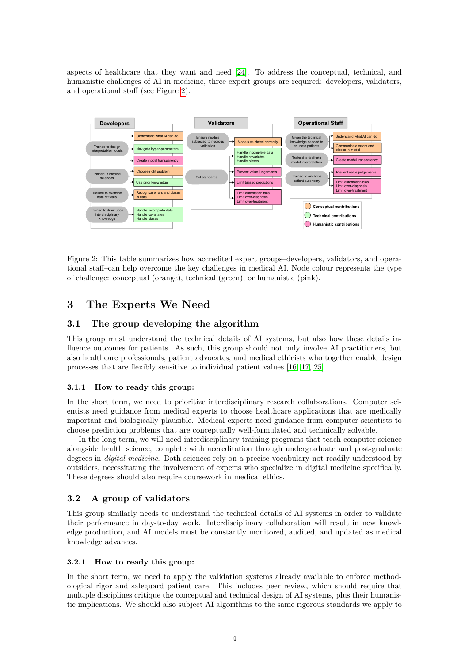aspects of healthcare that they want and need [\[24\]](#page-5-17). To address the conceptual, technical, and humanistic challenges of AI in medicine, three expert groups are required: developers, validators, and operational staff (see Figure [2\)](#page-3-0).



<span id="page-3-0"></span>Figure 2: This table summarizes how accredited expert groups–developers, validators, and operational staff–can help overcome the key challenges in medical AI. Node colour represents the type of challenge: conceptual (orange), technical (green), or humanistic (pink).

# **3 The Experts We Need**

## **3.1 The group developing the algorithm**

This group must understand the technical details of AI systems, but also how these details influence outcomes for patients. As such, this group should not only involve AI practitioners, but also healthcare professionals, patient advocates, and medical ethicists who together enable design processes that are flexibly sensitive to individual patient values [\[16,](#page-5-9) [17,](#page-5-10) [25\]](#page-5-18).

#### **3.1.1 How to ready this group:**

In the short term, we need to prioritize interdisciplinary research collaborations. Computer scientists need guidance from medical experts to choose healthcare applications that are medically important and biologically plausible. Medical experts need guidance from computer scientists to choose prediction problems that are conceptually well-formulated and technically solvable.

In the long term, we will need interdisciplinary training programs that teach computer science alongside health science, complete with accreditation through undergraduate and post-graduate degrees in *digital medicine*. Both sciences rely on a precise vocabulary not readily understood by outsiders, necessitating the involvement of experts who specialize in digital medicine specifically. These degrees should also require coursework in medical ethics.

#### **3.2 A group of validators**

This group similarly needs to understand the technical details of AI systems in order to validate their performance in day-to-day work. Interdisciplinary collaboration will result in new knowledge production, and AI models must be constantly monitored, audited, and updated as medical knowledge advances.

#### **3.2.1 How to ready this group:**

In the short term, we need to apply the validation systems already available to enforce methodological rigor and safeguard patient care. This includes peer review, which should require that multiple disciplines critique the conceptual and technical design of AI systems, plus their humanistic implications. We should also subject AI algorithms to the same rigorous standards we apply to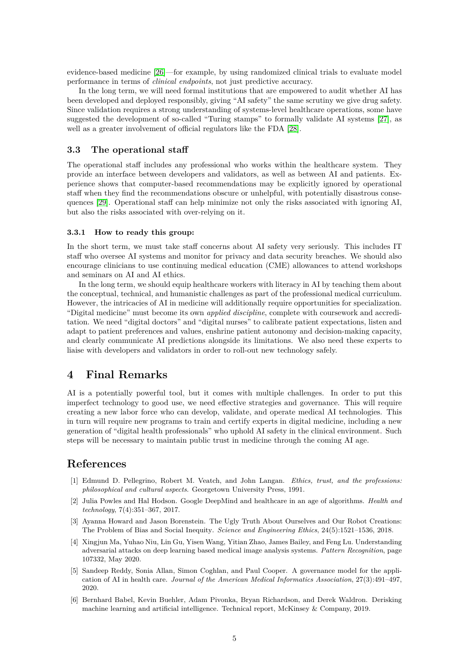evidence-based medicine [\[26\]](#page-5-19)—for example, by using randomized clinical trials to evaluate model performance in terms of *clinical endpoints*, not just predictive accuracy.

In the long term, we will need formal institutions that are empowered to audit whether AI has been developed and deployed responsibly, giving "AI safety" the same scrutiny we give drug safety. Since validation requires a strong understanding of systems-level healthcare operations, some have suggested the development of so-called "Turing stamps" to formally validate AI systems [\[27\]](#page-5-20), as well as a greater involvement of official regulators like the FDA [\[28\]](#page-5-21).

#### **3.3 The operational staff**

The operational staff includes any professional who works within the healthcare system. They provide an interface between developers and validators, as well as between AI and patients. Experience shows that computer-based recommendations may be explicitly ignored by operational staff when they find the recommendations obscure or unhelpful, with potentially disastrous consequences [\[29\]](#page-5-22). Operational staff can help minimize not only the risks associated with ignoring AI, but also the risks associated with over-relying on it.

#### **3.3.1 How to ready this group:**

In the short term, we must take staff concerns about AI safety very seriously. This includes IT staff who oversee AI systems and monitor for privacy and data security breaches. We should also encourage clinicians to use continuing medical education (CME) allowances to attend workshops and seminars on AI and AI ethics.

In the long term, we should equip healthcare workers with literacy in AI by teaching them about the conceptual, technical, and humanistic challenges as part of the professional medical curriculum. However, the intricacies of AI in medicine will additionally require opportunities for specialization. "Digital medicine" must become its own *applied discipline*, complete with coursework and accreditation. We need "digital doctors" and "digital nurses" to calibrate patient expectations, listen and adapt to patient preferences and values, enshrine patient autonomy and decision-making capacity, and clearly communicate AI predictions alongside its limitations. We also need these experts to liaise with developers and validators in order to roll-out new technology safely.

## **4 Final Remarks**

AI is a potentially powerful tool, but it comes with multiple challenges. In order to put this imperfect technology to good use, we need effective strategies and governance. This will require creating a new labor force who can develop, validate, and operate medical AI technologies. This in turn will require new programs to train and certify experts in digital medicine, including a new generation of "digital health professionals" who uphold AI safety in the clinical environment. Such steps will be necessary to maintain public trust in medicine through the coming AI age.

# **References**

- <span id="page-4-0"></span>[1] Edmund D. Pellegrino, Robert M. Veatch, and John Langan. *Ethics, trust, and the professions: philosophical and cultural aspects*. Georgetown University Press, 1991.
- <span id="page-4-1"></span>[2] Julia Powles and Hal Hodson. Google DeepMind and healthcare in an age of algorithms. *Health and technology*, 7(4):351–367, 2017.
- <span id="page-4-2"></span>[3] Ayanna Howard and Jason Borenstein. The Ugly Truth About Ourselves and Our Robot Creations: The Problem of Bias and Social Inequity. *Science and Engineering Ethics*, 24(5):1521–1536, 2018.
- <span id="page-4-3"></span>[4] Xingjun Ma, Yuhao Niu, Lin Gu, Yisen Wang, Yitian Zhao, James Bailey, and Feng Lu. Understanding adversarial attacks on deep learning based medical image analysis systems. *Pattern Recognition*, page 107332, May 2020.
- <span id="page-4-4"></span>[5] Sandeep Reddy, Sonia Allan, Simon Coghlan, and Paul Cooper. A governance model for the application of AI in health care. *Journal of the American Medical Informatics Association*, 27(3):491–497, 2020.
- <span id="page-4-5"></span>[6] Bernhard Babel, Kevin Buehler, Adam Pivonka, Bryan Richardson, and Derek Waldron. Derisking machine learning and artificial intelligence. Technical report, McKinsey & Company, 2019.